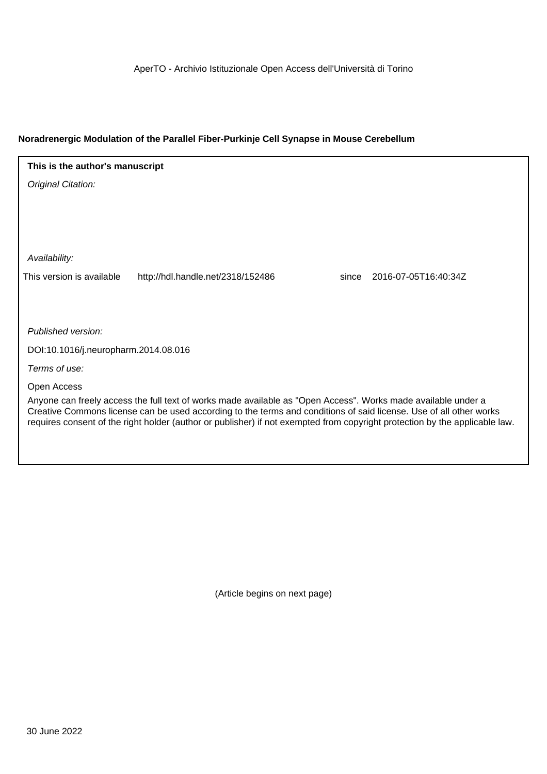AperTO - Archivio Istituzionale Open Access dell'Università di Torino

## **Noradrenergic Modulation of the Parallel Fiber-Purkinje Cell Synapse in Mouse Cerebellum**

# **This is the author's manuscript**

Original Citation:

Availability:

This version is available http://hdl.handle.net/2318/152486 since 2016-07-05T16:40:34Z

Published version:

DOI:10.1016/j.neuropharm.2014.08.016

Terms of use:

Open Access

Anyone can freely access the full text of works made available as "Open Access". Works made available under a Creative Commons license can be used according to the terms and conditions of said license. Use of all other works requires consent of the right holder (author or publisher) if not exempted from copyright protection by the applicable law.

(Article begins on next page)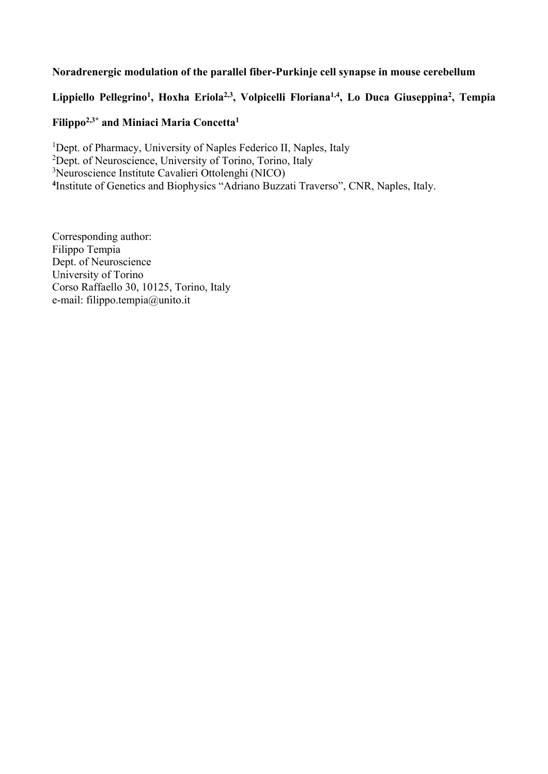# **Noradrenergic modulation of the parallel fiber-Purkinje cell synapse in mouse cerebellum**

# Lippiello Pellegrino<sup>1</sup>, Hoxha Eriola<sup>2,3</sup>, Volpicelli Floriana<sup>1,4</sup>, Lo Duca Giuseppina<sup>2</sup>, Tempia

# **Filippo2,3\* and Miniaci Maria Concetta1**

<sup>1</sup>Dept. of Pharmacy, University of Naples Federico II, Naples, Italy

- <sup>2</sup>Dept. of Neuroscience, University of Torino, Torino, Italy
- 3 Neuroscience Institute Cavalieri Ottolenghi (NICO)

**4** Institute of Genetics and Biophysics "Adriano Buzzati Traverso", CNR, Naples, Italy.

Corresponding author: Filippo Tempia Dept. of Neuroscience University of Torino Corso Raffaello 30, 10125, Torino, Italy e-mail: filippo.tempia@unito.it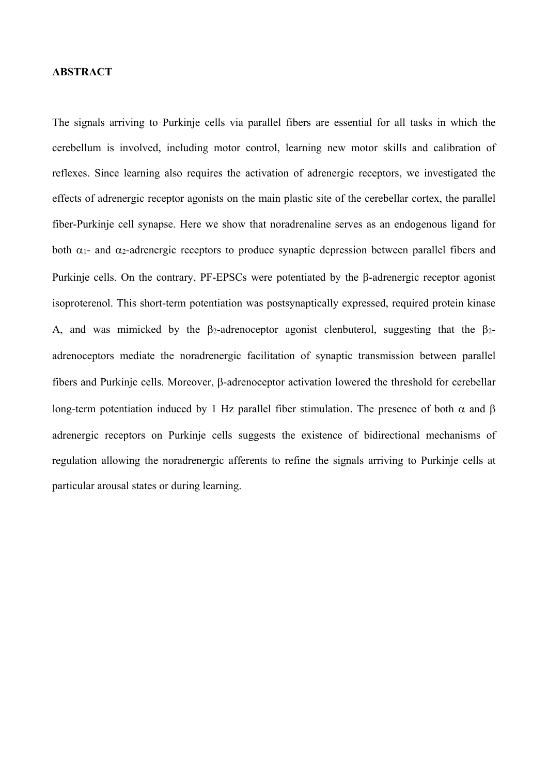## **ABSTRACT**

The signals arriving to Purkinje cells via parallel fibers are essential for all tasks in which the cerebellum is involved, including motor control, learning new motor skills and calibration of reflexes. Since learning also requires the activation of adrenergic receptors, we investigated the effects of adrenergic receptor agonists on the main plastic site of the cerebellar cortex, the parallel fiber-Purkinje cell synapse. Here we show that noradrenaline serves as an endogenous ligand for both  $\alpha_1$ - and  $\alpha_2$ -adrenergic receptors to produce synaptic depression between parallel fibers and Purkinje cells. On the contrary, PF-EPSCs were potentiated by the B-adrenergic receptor agonist isoproterenol. This short-term potentiation was postsynaptically expressed, required protein kinase A, and was mimicked by the  $\beta_2$ -adrenoceptor agonist clenbuterol, suggesting that the  $\beta_2$ adrenoceptors mediate the noradrenergic facilitation of synaptic transmission between parallel fibers and Purkinie cells. Moreover, B-adrenoceptor activation lowered the threshold for cerebellar long-term potentiation induced by 1 Hz parallel fiber stimulation. The presence of both  $\alpha$  and  $\beta$ adrenergic receptors on Purkinje cells suggests the existence of bidirectional mechanisms of regulation allowing the noradrenergic afferents to refine the signals arriving to Purkinje cells at particular arousal states or during learning.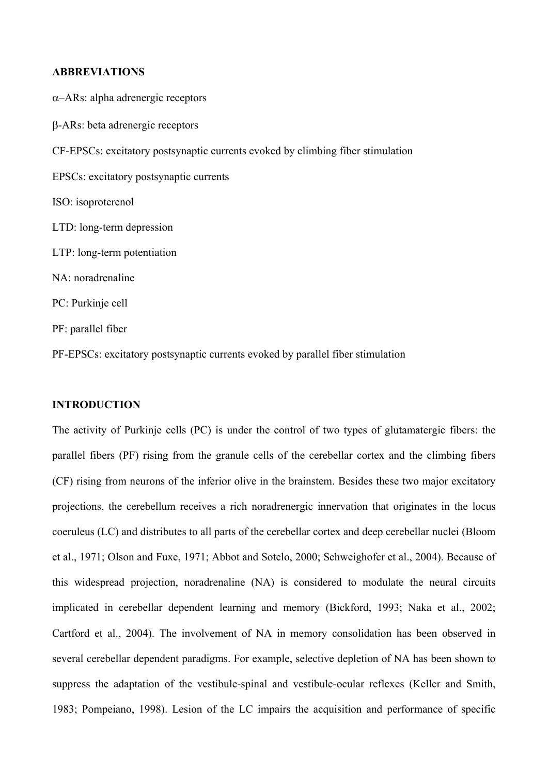## **ABBREVIATIONS**

 $\alpha$ –ARs: alpha adrenergic receptors -ARs: beta adrenergic receptors CF-EPSCs: excitatory postsynaptic currents evoked by climbing fiber stimulation EPSCs: excitatory postsynaptic currents ISO: isoproterenol LTD: long-term depression LTP: long-term potentiation NA: noradrenaline PC: Purkinje cell PF: parallel fiber

PF-EPSCs: excitatory postsynaptic currents evoked by parallel fiber stimulation

## **INTRODUCTION**

The activity of Purkinje cells (PC) is under the control of two types of glutamatergic fibers: the parallel fibers (PF) rising from the granule cells of the cerebellar cortex and the climbing fibers (CF) rising from neurons of the inferior olive in the brainstem. Besides these two major excitatory projections, the cerebellum receives a rich noradrenergic innervation that originates in the locus coeruleus (LC) and distributes to all parts of the cerebellar cortex and deep cerebellar nuclei (Bloom et al., 1971; Olson and Fuxe, 1971; Abbot and Sotelo, 2000; Schweighofer et al., 2004). Because of this widespread projection, noradrenaline (NA) is considered to modulate the neural circuits implicated in cerebellar dependent learning and memory (Bickford, 1993; Naka et al., 2002; Cartford et al., 2004). The involvement of NA in memory consolidation has been observed in several cerebellar dependent paradigms. For example, selective depletion of NA has been shown to suppress the adaptation of the vestibule-spinal and vestibule-ocular reflexes (Keller and Smith, 1983; Pompeiano, 1998). Lesion of the LC impairs the acquisition and performance of specific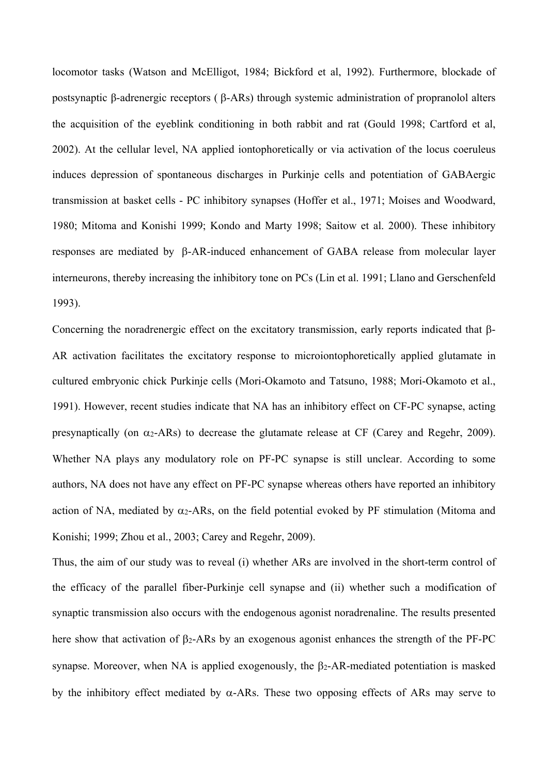locomotor tasks (Watson and McElligot, 1984; Bickford et al, 1992). Furthermore, blockade of postsynaptic β-adrenergic receptors ( $\beta$ -ARs) through systemic administration of propranolol alters the acquisition of the eyeblink conditioning in both rabbit and rat (Gould 1998; Cartford et al, 2002). At the cellular level, NA applied iontophoretically or via activation of the locus coeruleus induces depression of spontaneous discharges in Purkinje cells and potentiation of GABAergic transmission at basket cells - PC inhibitory synapses (Hoffer et al., 1971; Moises and Woodward, 1980; Mitoma and Konishi 1999; Kondo and Marty 1998; Saitow et al. 2000). These inhibitory responses are mediated by  $\beta$ -AR-induced enhancement of GABA release from molecular layer interneurons, thereby increasing the inhibitory tone on PCs (Lin et al. 1991; Llano and Gerschenfeld 1993).

Concerning the noradrenergic effect on the excitatory transmission, early reports indicated that  $\beta$ -AR activation facilitates the excitatory response to microiontophoretically applied glutamate in cultured embryonic chick Purkinje cells (Mori-Okamoto and Tatsuno, 1988; Mori-Okamoto et al., 1991). However, recent studies indicate that NA has an inhibitory effect on CF-PC synapse, acting presynaptically (on  $\alpha_2$ -ARs) to decrease the glutamate release at CF (Carey and Regehr, 2009). Whether NA plays any modulatory role on PF-PC synapse is still unclear. According to some authors, NA does not have any effect on PF-PC synapse whereas others have reported an inhibitory action of NA, mediated by  $\alpha_2$ -ARs, on the field potential evoked by PF stimulation (Mitoma and Konishi; 1999; Zhou et al., 2003; Carey and Regehr, 2009).

Thus, the aim of our study was to reveal (i) whether ARs are involved in the short-term control of the efficacy of the parallel fiber-Purkinje cell synapse and (ii) whether such a modification of synaptic transmission also occurs with the endogenous agonist noradrenaline. The results presented here show that activation of  $\beta$ 2-ARs by an exogenous agonist enhances the strength of the PF-PC synapse. Moreover, when NA is applied exogenously, the  $\beta$ 2-AR-mediated potentiation is masked by the inhibitory effect mediated by  $\alpha$ -ARs. These two opposing effects of ARs may serve to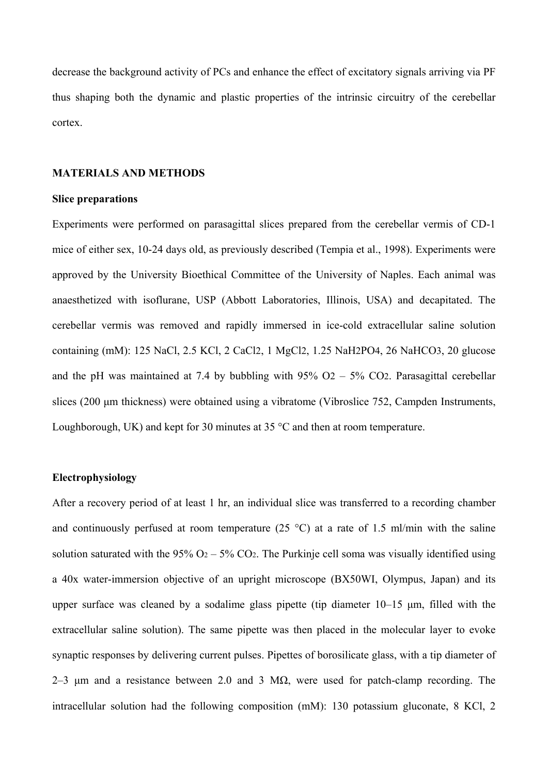decrease the background activity of PCs and enhance the effect of excitatory signals arriving via PF thus shaping both the dynamic and plastic properties of the intrinsic circuitry of the cerebellar cortex.

#### **MATERIALS AND METHODS**

## **Slice preparations**

Experiments were performed on parasagittal slices prepared from the cerebellar vermis of CD-1 mice of either sex, 10-24 days old, as previously described (Tempia et al., 1998). Experiments were approved by the University Bioethical Committee of the University of Naples. Each animal was anaesthetized with isoflurane, USP (Abbott Laboratories, Illinois, USA) and decapitated. The cerebellar vermis was removed and rapidly immersed in ice-cold extracellular saline solution containing (mM): 125 NaCl, 2.5 KCl, 2 CaCl2, 1 MgCl2, 1.25 NaH2PO4, 26 NaHCO3, 20 glucose and the pH was maintained at 7.4 by bubbling with  $95\%$  O2 –  $5\%$  CO2. Parasagittal cerebellar slices (200 μm thickness) were obtained using a vibratome (Vibroslice 752, Campden Instruments, Loughborough, UK) and kept for 30 minutes at 35 °C and then at room temperature.

## **Electrophysiology**

After a recovery period of at least 1 hr, an individual slice was transferred to a recording chamber and continuously perfused at room temperature  $(25 \degree C)$  at a rate of 1.5 ml/min with the saline solution saturated with the 95%  $O_2 - 5\%$  CO<sub>2</sub>. The Purkinje cell soma was visually identified using a 40x water-immersion objective of an upright microscope (BX50WI, Olympus, Japan) and its upper surface was cleaned by a sodalime glass pipette (tip diameter 10–15 μm, filled with the extracellular saline solution). The same pipette was then placed in the molecular layer to evoke synaptic responses by delivering current pulses. Pipettes of borosilicate glass, with a tip diameter of 2–3 μm and a resistance between 2.0 and 3 MΩ, were used for patch-clamp recording. The intracellular solution had the following composition (mM): 130 potassium gluconate, 8 KCl, 2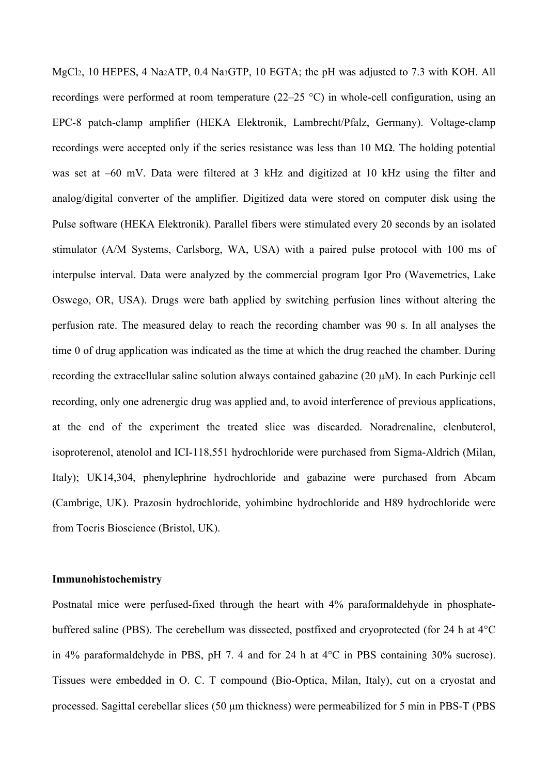MgCl2, 10 HEPES, 4 Na2ATP, 0.4 Na3GTP, 10 EGTA; the pH was adjusted to 7.3 with KOH. All recordings were performed at room temperature (22–25 °C) in whole-cell configuration, using an EPC-8 patch-clamp amplifier (HEKA Elektronik, Lambrecht/Pfalz, Germany). Voltage-clamp recordings were accepted only if the series resistance was less than 10 MΩ. The holding potential was set at –60 mV. Data were filtered at 3 kHz and digitized at 10 kHz using the filter and analog/digital converter of the amplifier. Digitized data were stored on computer disk using the Pulse software (HEKA Elektronik). Parallel fibers were stimulated every 20 seconds by an isolated stimulator (A/M Systems, Carlsborg, WA, USA) with a paired pulse protocol with 100 ms of interpulse interval. Data were analyzed by the commercial program Igor Pro (Wavemetrics, Lake Oswego, OR, USA). Drugs were bath applied by switching perfusion lines without altering the perfusion rate. The measured delay to reach the recording chamber was 90 s. In all analyses the time 0 of drug application was indicated as the time at which the drug reached the chamber. During recording the extracellular saline solution always contained gabazine (20 μM). In each Purkinje cell recording, only one adrenergic drug was applied and, to avoid interference of previous applications, at the end of the experiment the treated slice was discarded. Noradrenaline, clenbuterol, isoproterenol, atenolol and ICI-118,551 hydrochloride were purchased from Sigma-Aldrich (Milan, Italy); UK14,304, phenylephrine hydrochloride and gabazine were purchased from Abcam (Cambrige, UK). Prazosin hydrochloride, yohimbine hydrochloride and H89 hydrochloride were from Tocris Bioscience (Bristol, UK).

## **Immunohistochemistry**

Postnatal mice were perfused-fixed through the heart with 4% paraformaldehyde in phosphatebuffered saline (PBS). The cerebellum was dissected, postfixed and cryoprotected (for 24 h at 4°C in 4% paraformaldehyde in PBS, pH 7. 4 and for 24 h at 4°C in PBS containing 30% sucrose). Tissues were embedded in O. C. T compound (Bio-Optica, Milan, Italy), cut on a cryostat and processed. Sagittal cerebellar slices (50 μm thickness) were permeabilized for 5 min in PBS-T (PBS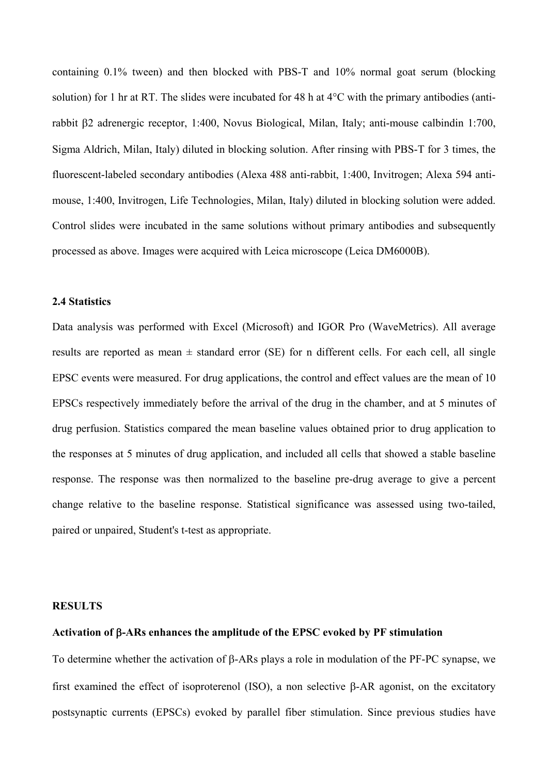containing 0.1% tween) and then blocked with PBS-T and 10% normal goat serum (blocking solution) for 1 hr at RT. The slides were incubated for 48 h at 4°C with the primary antibodies (antirabbit β2 adrenergic receptor, 1:400, Novus Biological, Milan, Italy; anti-mouse calbindin 1:700, Sigma Aldrich, Milan, Italy) diluted in blocking solution. After rinsing with PBS-T for 3 times, the fluorescent-labeled secondary antibodies (Alexa 488 anti-rabbit, 1:400, Invitrogen; Alexa 594 antimouse, 1:400, Invitrogen, Life Technologies, Milan, Italy) diluted in blocking solution were added. Control slides were incubated in the same solutions without primary antibodies and subsequently processed as above. Images were acquired with Leica microscope (Leica DM6000B).

## **2.4 Statistics**

Data analysis was performed with Excel (Microsoft) and IGOR Pro (WaveMetrics). All average results are reported as mean  $\pm$  standard error (SE) for n different cells. For each cell, all single EPSC events were measured. For drug applications, the control and effect values are the mean of 10 EPSCs respectively immediately before the arrival of the drug in the chamber, and at 5 minutes of drug perfusion. Statistics compared the mean baseline values obtained prior to drug application to the responses at 5 minutes of drug application, and included all cells that showed a stable baseline response. The response was then normalized to the baseline pre-drug average to give a percent change relative to the baseline response. Statistical significance was assessed using two-tailed, paired or unpaired, Student's t-test as appropriate.

#### **RESULTS**

## **Activation of -ARs enhances the amplitude of the EPSC evoked by PF stimulation**

To determine whether the activation of  $\beta$ -ARs plays a role in modulation of the PF-PC synapse, we first examined the effect of isoproterenol (ISO), a non selective  $\beta$ -AR agonist, on the excitatory postsynaptic currents (EPSCs) evoked by parallel fiber stimulation. Since previous studies have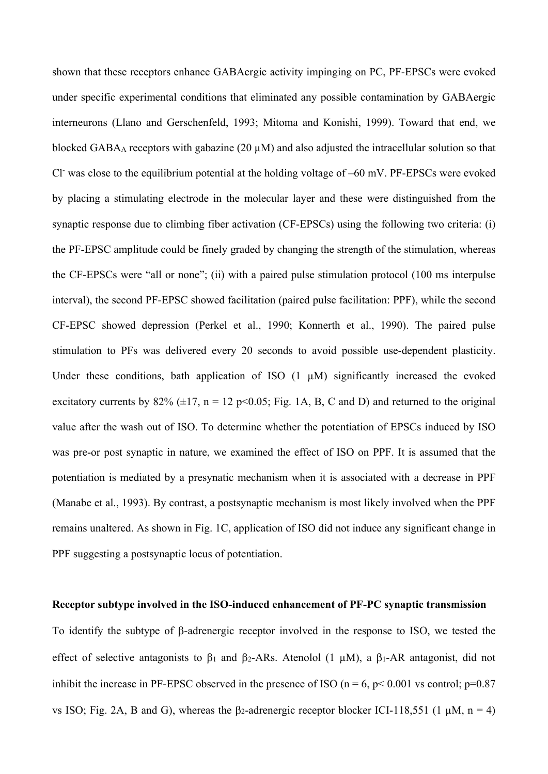shown that these receptors enhance GABAergic activity impinging on PC, PF-EPSCs were evoked under specific experimental conditions that eliminated any possible contamination by GABAergic interneurons (Llano and Gerschenfeld, 1993; Mitoma and Konishi, 1999). Toward that end, we blocked GABA<sub>A</sub> receptors with gabazine (20  $\mu$ M) and also adjusted the intracellular solution so that Cl was close to the equilibrium potential at the holding voltage of -60 mV. PF-EPSCs were evoked by placing a stimulating electrode in the molecular layer and these were distinguished from the synaptic response due to climbing fiber activation (CF-EPSCs) using the following two criteria: (i) the PF-EPSC amplitude could be finely graded by changing the strength of the stimulation, whereas the CF-EPSCs were "all or none"; (ii) with a paired pulse stimulation protocol (100 ms interpulse interval), the second PF-EPSC showed facilitation (paired pulse facilitation: PPF), while the second CF-EPSC showed depression (Perkel et al., 1990; Konnerth et al., 1990). The paired pulse stimulation to PFs was delivered every 20 seconds to avoid possible use-dependent plasticity. Under these conditions, bath application of ISO  $(1 \mu M)$  significantly increased the evoked excitatory currents by  $82\%$  ( $\pm 17$ , n = 12 p<0.05; Fig. 1A, B, C and D) and returned to the original value after the wash out of ISO. To determine whether the potentiation of EPSCs induced by ISO was pre-or post synaptic in nature, we examined the effect of ISO on PPF. It is assumed that the potentiation is mediated by a presynatic mechanism when it is associated with a decrease in PPF (Manabe et al., 1993). By contrast, a postsynaptic mechanism is most likely involved when the PPF remains unaltered. As shown in Fig. 1C, application of ISO did not induce any significant change in PPF suggesting a postsynaptic locus of potentiation.

#### **Receptor subtype involved in the ISO-induced enhancement of PF-PC synaptic transmission**

To identify the subtype of  $\beta$ -adrenergic receptor involved in the response to ISO, we tested the effect of selective antagonists to  $\beta_1$  and  $\beta_2$ -ARs. Atenolol (1  $\mu$ M), a  $\beta_1$ -AR antagonist, did not inhibit the increase in PF-EPSC observed in the presence of ISO ( $n = 6$ ,  $p < 0.001$  vs control;  $p=0.87$ vs ISO; Fig. 2A, B and G), whereas the  $\beta$ -adrenergic receptor blocker ICI-118,551 (1  $\mu$ M, n = 4)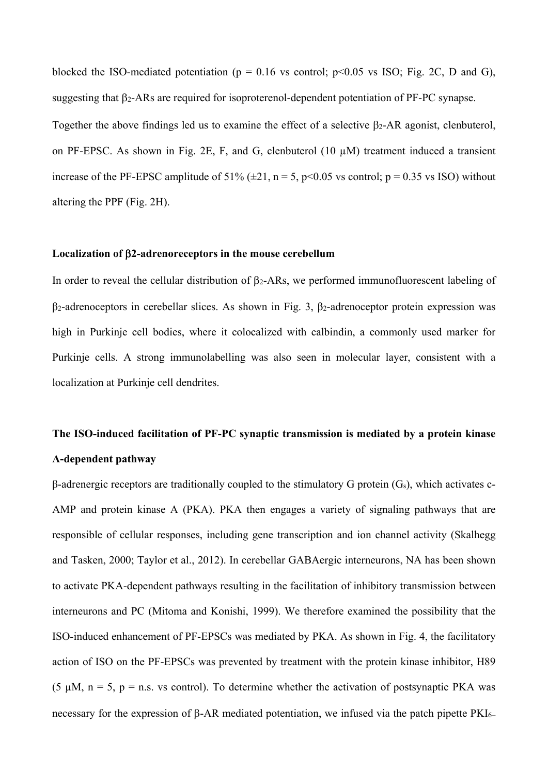blocked the ISO-mediated potentiation ( $p = 0.16$  vs control;  $p \le 0.05$  vs ISO; Fig. 2C, D and G), suggesting that  $\beta_2$ -ARs are required for isoproterenol-dependent potentiation of PF-PC synapse. Together the above findings led us to examine the effect of a selective  $\beta$ 2-AR agonist, clenbuterol, on PF-EPSC. As shown in Fig. 2E, F, and G, clenbuterol (10 µM) treatment induced a transient increase of the PF-EPSC amplitude of 51% ( $\pm$ 21, n = 5, p<0.05 vs control; p = 0.35 vs ISO) without altering the PPF (Fig. 2H).

## **Localization of 2-adrenoreceptors in the mouse cerebellum**

In order to reveal the cellular distribution of  $\beta_2$ -ARs, we performed immunofluorescent labeling of  $β<sub>2</sub>$ -adrenoceptors in cerebellar slices. As shown in Fig. 3,  $β<sub>2</sub>$ -adrenoceptor protein expression was high in Purkinje cell bodies, where it colocalized with calbindin, a commonly used marker for Purkinje cells. A strong immunolabelling was also seen in molecular layer, consistent with a localization at Purkinje cell dendrites.

# **The ISO-induced facilitation of PF-PC synaptic transmission is mediated by a protein kinase A-dependent pathway**

 $β$ -adrenergic receptors are traditionally coupled to the stimulatory G protein  $(G<sub>s</sub>)$ , which activates c-AMP and protein kinase A (PKA). PKA then engages a variety of signaling pathways that are responsible of cellular responses, including gene transcription and ion channel activity (Skalhegg and Tasken, 2000; Taylor et al., 2012). In cerebellar GABAergic interneurons, NA has been shown to activate PKA-dependent pathways resulting in the facilitation of inhibitory transmission between interneurons and PC (Mitoma and Konishi, 1999). We therefore examined the possibility that the ISO-induced enhancement of PF-EPSCs was mediated by PKA. As shown in Fig. 4, the facilitatory action of ISO on the PF-EPSCs was prevented by treatment with the protein kinase inhibitor, H89 (5  $\mu$ M, n = 5, p = n.s. vs control). To determine whether the activation of postsynaptic PKA was necessary for the expression of  $\beta$ -AR mediated potentiation, we infused via the patch pipette PKI6–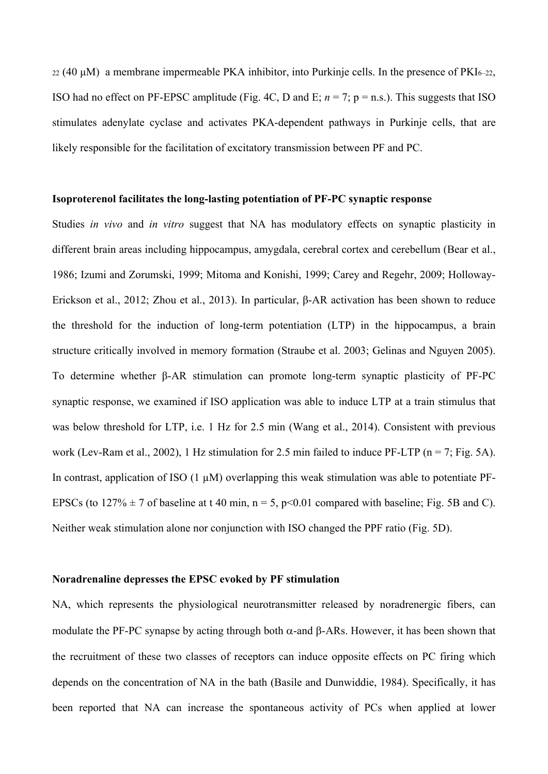$22$  (40 μM) a membrane impermeable PKA inhibitor, into Purkinje cells. In the presence of PKI<sub>6–22</sub>, ISO had no effect on PF-EPSC amplitude (Fig. 4C, D and E;  $n = 7$ ;  $p = n.s$ .). This suggests that ISO stimulates adenylate cyclase and activates PKA-dependent pathways in Purkinje cells, that are likely responsible for the facilitation of excitatory transmission between PF and PC.

## **Isoproterenol facilitates the long-lasting potentiation of PF-PC synaptic response**

Studies *in vivo* and *in vitro* suggest that NA has modulatory effects on synaptic plasticity in different brain areas including hippocampus, amygdala, cerebral cortex and cerebellum (Bear et al., 1986; Izumi and Zorumski, 1999; Mitoma and Konishi, 1999; Carey and Regehr, 2009; Holloway-Erickson et al., 2012; Zhou et al., 2013). In particular, β-AR activation has been shown to reduce the threshold for the induction of long-term potentiation (LTP) in the hippocampus, a brain structure critically involved in memory formation (Straube et al. 2003; Gelinas and Nguyen 2005). To determine whether β-AR stimulation can promote long-term synaptic plasticity of PF-PC synaptic response, we examined if ISO application was able to induce LTP at a train stimulus that was below threshold for LTP, i.e. 1 Hz for 2.5 min (Wang et al., 2014). Consistent with previous work (Lev-Ram et al., 2002), 1 Hz stimulation for 2.5 min failed to induce PF-LTP ( $n = 7$ ; Fig. 5A). In contrast, application of ISO  $(1 \mu M)$  overlapping this weak stimulation was able to potentiate PF-EPSCs (to  $127\% \pm 7$  of baseline at t 40 min, n = 5, p<0.01 compared with baseline; Fig. 5B and C). Neither weak stimulation alone nor conjunction with ISO changed the PPF ratio (Fig. 5D).

## **Noradrenaline depresses the EPSC evoked by PF stimulation**

NA, which represents the physiological neurotransmitter released by noradrenergic fibers, can modulate the PF-PC synapse by acting through both  $\alpha$ -and  $\beta$ -ARs. However, it has been shown that the recruitment of these two classes of receptors can induce opposite effects on PC firing which depends on the concentration of NA in the bath (Basile and Dunwiddie, 1984). Specifically, it has been reported that NA can increase the spontaneous activity of PCs when applied at lower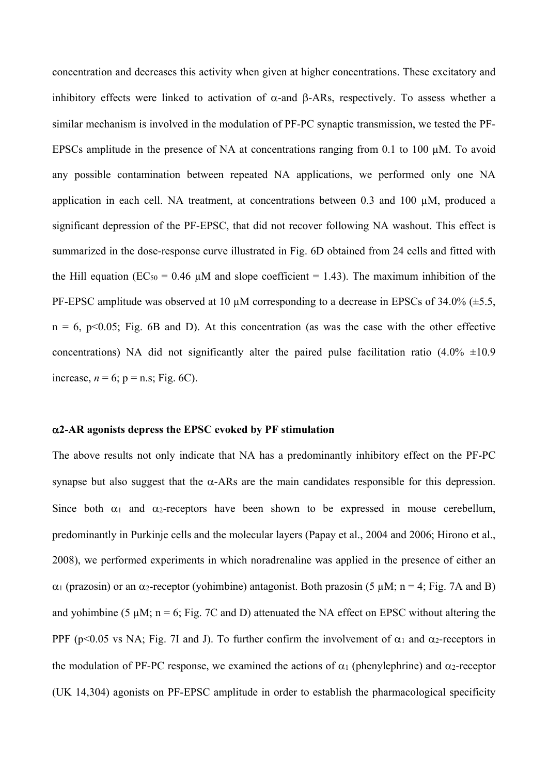concentration and decreases this activity when given at higher concentrations. These excitatory and inhibitory effects were linked to activation of  $\alpha$ -and B-ARs, respectively. To assess whether a similar mechanism is involved in the modulation of PF-PC synaptic transmission, we tested the PF-EPSCs amplitude in the presence of NA at concentrations ranging from 0.1 to 100 µM. To avoid any possible contamination between repeated NA applications, we performed only one NA application in each cell. NA treatment, at concentrations between 0.3 and 100 µM, produced a significant depression of the PF-EPSC, that did not recover following NA washout. This effect is summarized in the dose-response curve illustrated in Fig. 6D obtained from 24 cells and fitted with the Hill equation (EC<sub>50</sub> = 0.46  $\mu$ M and slope coefficient = 1.43). The maximum inhibition of the PF-EPSC amplitude was observed at 10  $\mu$ M corresponding to a decrease in EPSCs of 34.0% ( $\pm$ 5.5,  $n = 6$ ,  $p \le 0.05$ ; Fig. 6B and D). At this concentration (as was the case with the other effective concentrations) NA did not significantly alter the paired pulse facilitation ratio  $(4.0\% \pm 10.9$ increase,  $n = 6$ ;  $p = n.s$ ; Fig. 6C).

## **2-AR agonists depress the EPSC evoked by PF stimulation**

The above results not only indicate that NA has a predominantly inhibitory effect on the PF-PC synapse but also suggest that the  $\alpha$ -ARs are the main candidates responsible for this depression. Since both  $\alpha_1$  and  $\alpha_2$ -receptors have been shown to be expressed in mouse cerebellum, predominantly in Purkinje cells and the molecular layers (Papay et al., 2004 and 2006; Hirono et al., 2008), we performed experiments in which noradrenaline was applied in the presence of either an  $\alpha_1$  (prazosin) or an  $\alpha_2$ -receptor (yohimbine) antagonist. Both prazosin (5  $\mu$ M; n = 4; Fig. 7A and B) and yohimbine (5  $\mu$ M; n = 6; Fig. 7C and D) attenuated the NA effect on EPSC without altering the PPF (p<0.05 vs NA; Fig. 7I and J). To further confirm the involvement of  $\alpha_1$  and  $\alpha_2$ -receptors in the modulation of PF-PC response, we examined the actions of  $\alpha_1$  (phenylephrine) and  $\alpha_2$ -receptor (UK 14,304) agonists on PF-EPSC amplitude in order to establish the pharmacological specificity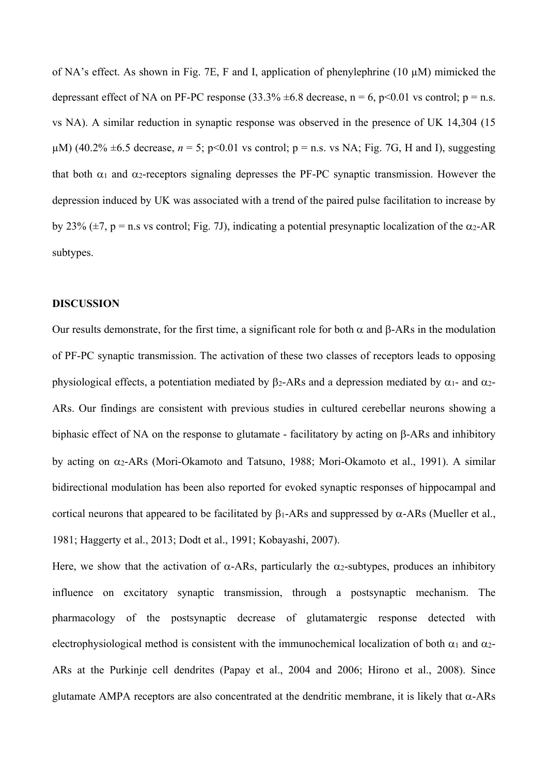of NA's effect. As shown in Fig. 7E, F and I, application of phenylephrine (10 µM) mimicked the depressant effect of NA on PF-PC response  $(33.3\% \pm 6.8$  decrease, n = 6, p<0.01 vs control; p = n.s. vs NA). A similar reduction in synaptic response was observed in the presence of UK 14,304 (15  $\mu$ M) (40.2%  $\pm$ 6.5 decrease, *n* = 5; p<0.01 vs control; p = n.s. vs NA; Fig. 7G, H and I), suggesting that both  $\alpha_1$  and  $\alpha_2$ -receptors signaling depresses the PF-PC synaptic transmission. However the depression induced by UK was associated with a trend of the paired pulse facilitation to increase by by 23% ( $\pm$ 7, p = n.s vs control; Fig. 7J), indicating a potential presynaptic localization of the  $\alpha$ 2-AR subtypes.

## **DISCUSSION**

Our results demonstrate, for the first time, a significant role for both  $\alpha$  and  $\beta$ -ARs in the modulation of PF-PC synaptic transmission. The activation of these two classes of receptors leads to opposing physiological effects, a potentiation mediated by  $\beta_2$ -ARs and a depression mediated by  $\alpha_1$ - and  $\alpha_2$ -ARs. Our findings are consistent with previous studies in cultured cerebellar neurons showing a biphasic effect of NA on the response to glutamate - facilitatory by acting on  $\beta$ -ARs and inhibitory by acting on  $\alpha_2$ -ARs (Mori-Okamoto and Tatsuno, 1988; Mori-Okamoto et al., 1991). A similar bidirectional modulation has been also reported for evoked synaptic responses of hippocampal and cortical neurons that appeared to be facilitated by  $\beta_1$ -ARs and suppressed by  $\alpha$ -ARs (Mueller et al., 1981; Haggerty et al., 2013; Dodt et al., 1991; Kobayashi, 2007).

Here, we show that the activation of  $\alpha$ -ARs, particularly the  $\alpha_2$ -subtypes, produces an inhibitory influence on excitatory synaptic transmission, through a postsynaptic mechanism. The pharmacology of the postsynaptic decrease of glutamatergic response detected with electrophysiological method is consistent with the immunochemical localization of both  $\alpha_1$  and  $\alpha_2$ -ARs at the Purkinje cell dendrites (Papay et al., 2004 and 2006; Hirono et al., 2008). Since glutamate AMPA receptors are also concentrated at the dendritic membrane, it is likely that  $\alpha$ -ARs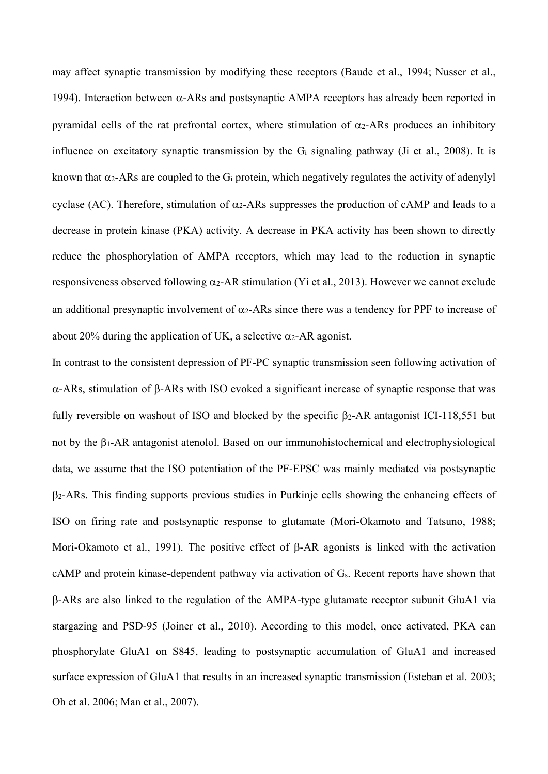may affect synaptic transmission by modifying these receptors (Baude et al., 1994; Nusser et al., 1994). Interaction between  $\alpha$ -ARs and postsynaptic AMPA receptors has already been reported in pyramidal cells of the rat prefrontal cortex, where stimulation of  $\alpha_2$ -ARs produces an inhibitory influence on excitatory synaptic transmission by the Gi signaling pathway (Ji et al., 2008). It is known that  $\alpha_2$ -ARs are coupled to the G<sub>i</sub> protein, which negatively regulates the activity of adenylyl cyclase (AC). Therefore, stimulation of  $\alpha_2$ -ARs suppresses the production of cAMP and leads to a decrease in protein kinase (PKA) activity. A decrease in PKA activity has been shown to directly reduce the phosphorylation of AMPA receptors, which may lead to the reduction in synaptic responsiveness observed following  $\alpha$ 2-AR stimulation (Yi et al., 2013). However we cannot exclude an additional presynaptic involvement of  $\alpha_2$ -ARs since there was a tendency for PPF to increase of about 20% during the application of UK, a selective  $\alpha_2$ -AR agonist.

In contrast to the consistent depression of PF-PC synaptic transmission seen following activation of  $\alpha$ -ARs, stimulation of  $\beta$ -ARs with ISO evoked a significant increase of synaptic response that was fully reversible on washout of ISO and blocked by the specific  $\beta$ 2-AR antagonist ICI-118,551 but not by the 1-AR antagonist atenolol. Based on our immunohistochemical and electrophysiological data, we assume that the ISO potentiation of the PF-EPSC was mainly mediated via postsynaptic 2-ARs. This finding supports previous studies in Purkinje cells showing the enhancing effects of ISO on firing rate and postsynaptic response to glutamate (Mori-Okamoto and Tatsuno, 1988; Mori-Okamoto et al., 1991). The positive effect of  $\beta$ -AR agonists is linked with the activation cAMP and protein kinase-dependent pathway via activation of Gs. Recent reports have shown that -ARs are also linked to the regulation of the AMPA-type glutamate receptor subunit GluA1 via stargazing and PSD-95 (Joiner et al., 2010). According to this model, once activated, PKA can phosphorylate GluA1 on S845, leading to postsynaptic accumulation of GluA1 and increased surface expression of GluA1 that results in an increased synaptic transmission (Esteban et al. 2003; Oh et al. 2006; Man et al., 2007).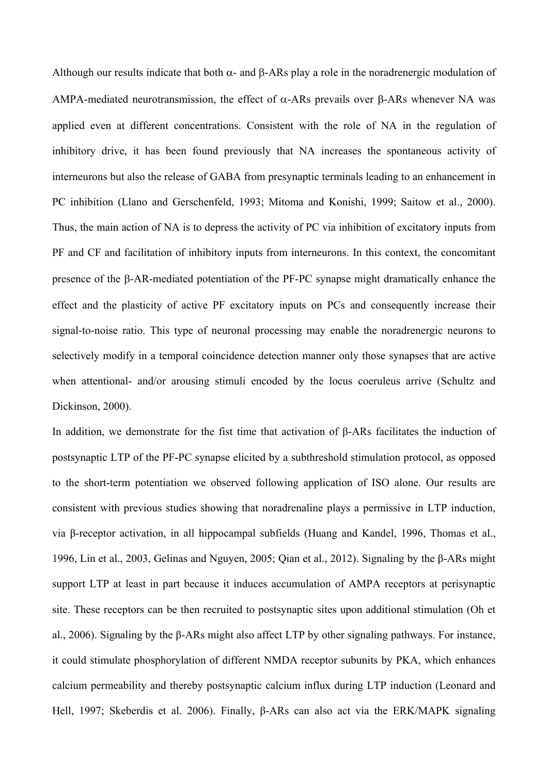Although our results indicate that both  $\alpha$ - and  $\beta$ -ARs play a role in the noradrenergic modulation of AMPA-mediated neurotransmission, the effect of  $\alpha$ -ARs prevails over  $\beta$ -ARs whenever NA was applied even at different concentrations. Consistent with the role of NA in the regulation of inhibitory drive, it has been found previously that NA increases the spontaneous activity of interneurons but also the release of GABA from presynaptic terminals leading to an enhancement in PC inhibition (Llano and Gerschenfeld, 1993; Mitoma and Konishi, 1999; Saitow et al., 2000). Thus, the main action of NA is to depress the activity of PC via inhibition of excitatory inputs from PF and CF and facilitation of inhibitory inputs from interneurons. In this context, the concomitant presence of the  $\beta$ -AR-mediated potentiation of the PF-PC synapse might dramatically enhance the effect and the plasticity of active PF excitatory inputs on PCs and consequently increase their signal-to-noise ratio. This type of neuronal processing may enable the noradrenergic neurons to selectively modify in a temporal coincidence detection manner only those synapses that are active when attentional- and/or arousing stimuli encoded by the locus coeruleus arrive (Schultz and Dickinson, 2000).

In addition, we demonstrate for the fist time that activation of β-ARs facilitates the induction of postsynaptic LTP of the PF-PC synapse elicited by a subthreshold stimulation protocol, as opposed to the short-term potentiation we observed following application of ISO alone. Our results are consistent with previous studies showing that noradrenaline plays a permissive in LTP induction, via β-receptor activation, in all hippocampal subfields (Huang and Kandel, 1996, Thomas et al., 1996, Lin et al., 2003, Gelinas and Nguyen, 2005; Qian et al., 2012). Signaling by the β-ARs might support LTP at least in part because it induces accumulation of AMPA receptors at perisynaptic site. These receptors can be then recruited to postsynaptic sites upon additional stimulation (Oh et al., 2006). Signaling by the β-ARs might also affect LTP by other signaling pathways. For instance, it could stimulate phosphorylation of different NMDA receptor subunits by PKA, which enhances calcium permeability and thereby postsynaptic calcium influx during LTP induction (Leonard and Hell, 1997; Skeberdis et al. 2006). Finally, β-ARs can also act via the ERK/MAPK signaling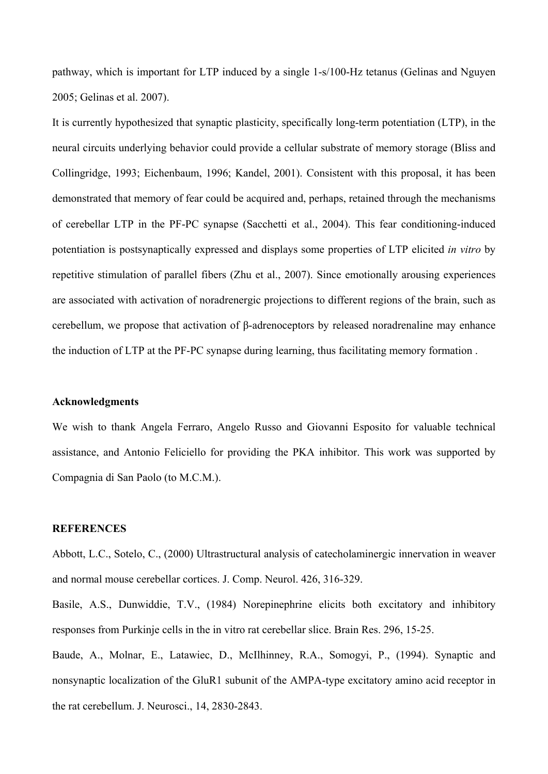pathway, which is important for LTP induced by a single 1-s/100-Hz tetanus (Gelinas and Nguyen 2005; Gelinas et al. 2007).

It is currently hypothesized that synaptic plasticity, specifically long-term potentiation (LTP), in the neural circuits underlying behavior could provide a cellular substrate of memory storage (Bliss and Collingridge, 1993; Eichenbaum, 1996; Kandel, 2001). Consistent with this proposal, it has been demonstrated that memory of fear could be acquired and, perhaps, retained through the mechanisms of cerebellar LTP in the PF-PC synapse (Sacchetti et al., 2004). This fear conditioning-induced potentiation is postsynaptically expressed and displays some properties of LTP elicited *in vitro* by repetitive stimulation of parallel fibers (Zhu et al., 2007). Since emotionally arousing experiences are associated with activation of noradrenergic projections to different regions of the brain, such as cerebellum, we propose that activation of β-adrenoceptors by released noradrenaline may enhance the induction of LTP at the PF-PC synapse during learning, thus facilitating memory formation .

#### **Acknowledgments**

We wish to thank Angela Ferraro, Angelo Russo and Giovanni Esposito for valuable technical assistance, and Antonio Feliciello for providing the PKA inhibitor. This work was supported by Compagnia di San Paolo (to M.C.M.).

## **REFERENCES**

Abbott, L.C., Sotelo, C., (2000) Ultrastructural analysis of catecholaminergic innervation in weaver and normal mouse cerebellar cortices. J. Comp. Neurol. 426, 316-329.

Basile, A.S., Dunwiddie, T.V., (1984) Norepinephrine elicits both excitatory and inhibitory responses from Purkinje cells in the in vitro rat cerebellar slice. Brain Res. 296, 15-25.

Baude, A., Molnar, E., Latawiec, D., McIlhinney, R.A., Somogyi, P., (1994). Synaptic and nonsynaptic localization of the GluR1 subunit of the AMPA-type excitatory amino acid receptor in the rat cerebellum. J. Neurosci., 14, 2830-2843.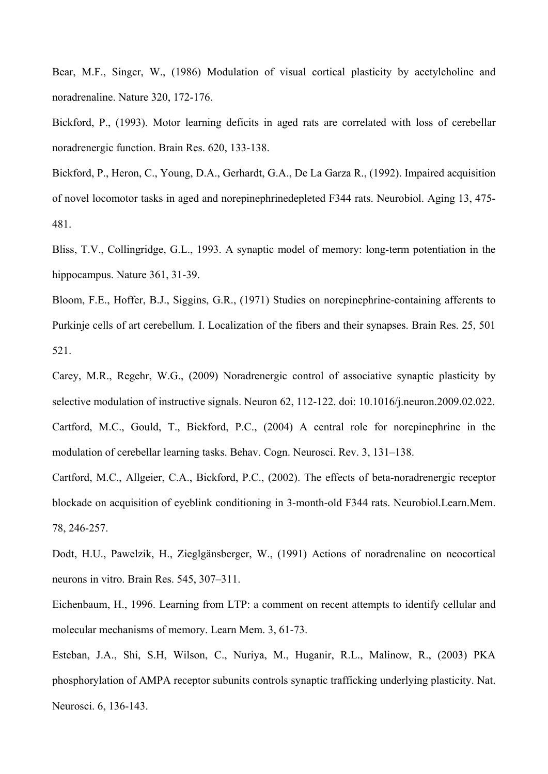Bear, M.F., Singer, W., (1986) Modulation of visual cortical plasticity by acetylcholine and noradrenaline. Nature 320, 172-176.

Bickford, P., (1993). Motor learning deficits in aged rats are correlated with loss of cerebellar noradrenergic function. Brain Res. 620, 133-138.

Bickford, P., Heron, C., Young, D.A., Gerhardt, G.A., De La Garza R., (1992). Impaired acquisition of novel locomotor tasks in aged and norepinephrinedepleted F344 rats. Neurobiol. Aging 13, 475- 481.

Bliss, T.V., Collingridge, G.L., 1993. A synaptic model of memory: long-term potentiation in the hippocampus. Nature 361, 31-39.

Bloom, F.E., Hoffer, B.J., Siggins, G.R., (1971) Studies on norepinephrine-containing afferents to Purkinje cells of art cerebellum. I. Localization of the fibers and their synapses. Brain Res. 25, 501 521.

Carey, M.R., Regehr, W.G., (2009) Noradrenergic control of associative synaptic plasticity by selective modulation of instructive signals. Neuron 62, 112-122. doi: 10.1016/j.neuron.2009.02.022. Cartford, M.C., Gould, T., Bickford, P.C., (2004) A central role for norepinephrine in the modulation of cerebellar learning tasks. Behav. Cogn. Neurosci. Rev. 3, 131–138.

Cartford, M.C., Allgeier, C.A., Bickford, P.C., (2002). The effects of beta-noradrenergic receptor blockade on acquisition of eyeblink conditioning in 3-month-old F344 rats. Neurobiol.Learn.Mem. 78, 246-257.

Dodt, H.U., Pawelzik, H., Zieglgänsberger, W., (1991) Actions of noradrenaline on neocortical neurons in vitro. Brain Res. 545, 307–311.

Eichenbaum, H., 1996. Learning from LTP: a comment on recent attempts to identify cellular and molecular mechanisms of memory. Learn Mem. 3, 61-73.

Esteban, J.A., Shi, S.H, Wilson, C., Nuriya, M., Huganir, R.L., Malinow, R., (2003) PKA phosphorylation of AMPA receptor subunits controls synaptic trafficking underlying plasticity. Nat. Neurosci. 6, 136-143.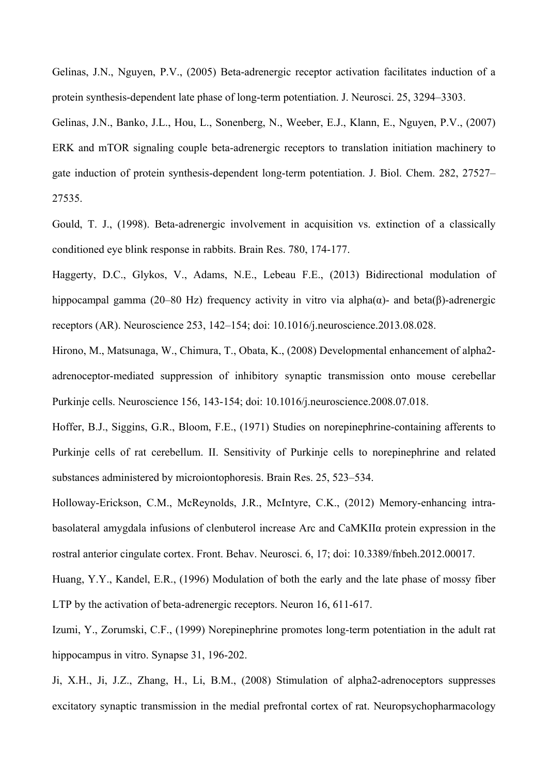Gelinas, J.N., Nguyen, P.V., (2005) Beta-adrenergic receptor activation facilitates induction of a protein synthesis-dependent late phase of long-term potentiation. J. Neurosci. 25, 3294–3303.

Gelinas, J.N., Banko, J.L., Hou, L., Sonenberg, N., Weeber, E.J., Klann, E., Nguyen, P.V., (2007) ERK and mTOR signaling couple beta-adrenergic receptors to translation initiation machinery to gate induction of protein synthesis-dependent long-term potentiation. J. Biol. Chem. 282, 27527– 27535.

Gould, T. J., (1998). Beta-adrenergic involvement in acquisition vs. extinction of a classically conditioned eye blink response in rabbits. Brain Res. 780, 174-177.

Haggerty, D.C., Glykos, V., Adams, N.E., Lebeau F.E., (2013) Bidirectional modulation of hippocampal gamma (20–80 Hz) frequency activity in vitro via alpha(α)- and beta(β)-adrenergic receptors (AR). Neuroscience 253, 142–154; doi: 10.1016/j.neuroscience.2013.08.028.

Hirono, M., Matsunaga, W., Chimura, T., Obata, K., (2008) Developmental enhancement of alpha2 adrenoceptor-mediated suppression of inhibitory synaptic transmission onto mouse cerebellar Purkinje cells. Neuroscience 156, 143-154; doi: 10.1016/j.neuroscience.2008.07.018.

Hoffer, B.J., Siggins, G.R., Bloom, F.E., (1971) Studies on norepinephrine-containing afferents to Purkinje cells of rat cerebellum. II. Sensitivity of Purkinje cells to norepinephrine and related substances administered by microiontophoresis. Brain Res. 25, 523–534.

Holloway-Erickson, C.M., McReynolds, J.R., McIntyre, C.K., (2012) Memory-enhancing intrabasolateral amygdala infusions of clenbuterol increase Arc and CaMKIIα protein expression in the rostral anterior cingulate cortex. Front. Behav. Neurosci. 6, 17; doi: 10.3389/fnbeh.2012.00017.

Huang, Y.Y., Kandel, E.R., (1996) Modulation of both the early and the late phase of mossy fiber LTP by the activation of beta-adrenergic receptors. Neuron 16, 611-617.

Izumi, Y., Zorumski, C.F., (1999) Norepinephrine promotes long-term potentiation in the adult rat hippocampus in vitro. Synapse 31, 196-202.

Ji, X.H., Ji, J.Z., Zhang, H., Li, B.M., (2008) Stimulation of alpha2-adrenoceptors suppresses excitatory synaptic transmission in the medial prefrontal cortex of rat. Neuropsychopharmacology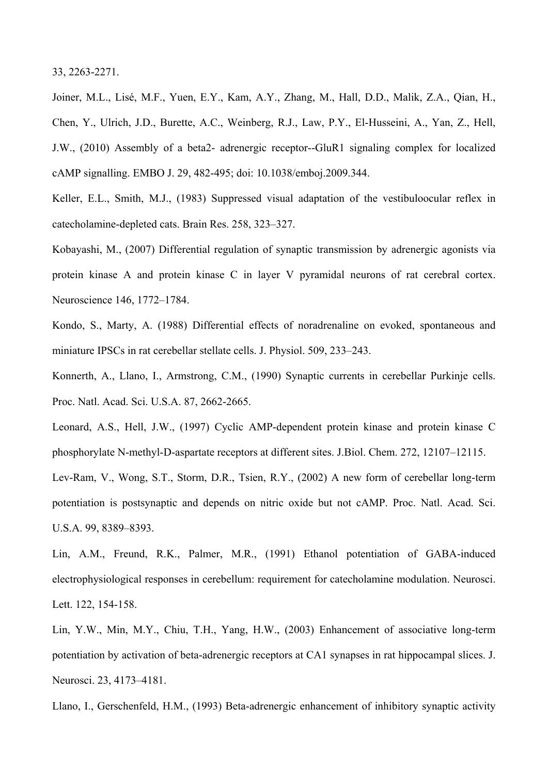33, 2263-2271.

Joiner, M.L., Lisé, M.F., Yuen, E.Y., Kam, A.Y., Zhang, M., Hall, D.D., Malik, Z.A., Qian, H., Chen, Y., Ulrich, J.D., Burette, A.C., Weinberg, R.J., Law, P.Y., El-Husseini, A., Yan, Z., Hell, J.W., (2010) Assembly of a beta2- adrenergic receptor--GluR1 signaling complex for localized cAMP signalling. EMBO J. 29, 482-495; doi: 10.1038/emboj.2009.344.

Keller, E.L., Smith, M.J., (1983) Suppressed visual adaptation of the vestibuloocular reflex in catecholamine-depleted cats. Brain Res. 258, 323–327.

Kobayashi, M., (2007) Differential regulation of synaptic transmission by adrenergic agonists via protein kinase A and protein kinase C in layer V pyramidal neurons of rat cerebral cortex. Neuroscience 146, 1772–1784.

Kondo, S., Marty, A. (1988) Differential effects of noradrenaline on evoked, spontaneous and miniature IPSCs in rat cerebellar stellate cells. J. Physiol. 509, 233–243.

Konnerth, A., Llano, I., Armstrong, C.M., (1990) Synaptic currents in cerebellar Purkinje cells. Proc. Natl. Acad. Sci. U.S.A. 87, 2662-2665.

Leonard, A.S., Hell, J.W., (1997) Cyclic AMP-dependent protein kinase and protein kinase C phosphorylate N-methyl-D-aspartate receptors at different sites. J.Biol. Chem. 272, 12107–12115.

Lev-Ram, V., Wong, S.T., Storm, D.R., Tsien, R.Y., (2002) A new form of cerebellar long-term potentiation is postsynaptic and depends on nitric oxide but not cAMP. Proc. Natl. Acad. Sci. U.S.A. 99, 8389–8393.

Lin, A.M., Freund, R.K., Palmer, M.R., (1991) Ethanol potentiation of GABA-induced electrophysiological responses in cerebellum: requirement for catecholamine modulation. Neurosci. Lett. 122, 154-158.

Lin, Y.W., Min, M.Y., Chiu, T.H., Yang, H.W., (2003) Enhancement of associative long-term potentiation by activation of beta-adrenergic receptors at CA1 synapses in rat hippocampal slices. J. Neurosci. 23, 4173–4181.

Llano, I., Gerschenfeld, H.M., (1993) Beta-adrenergic enhancement of inhibitory synaptic activity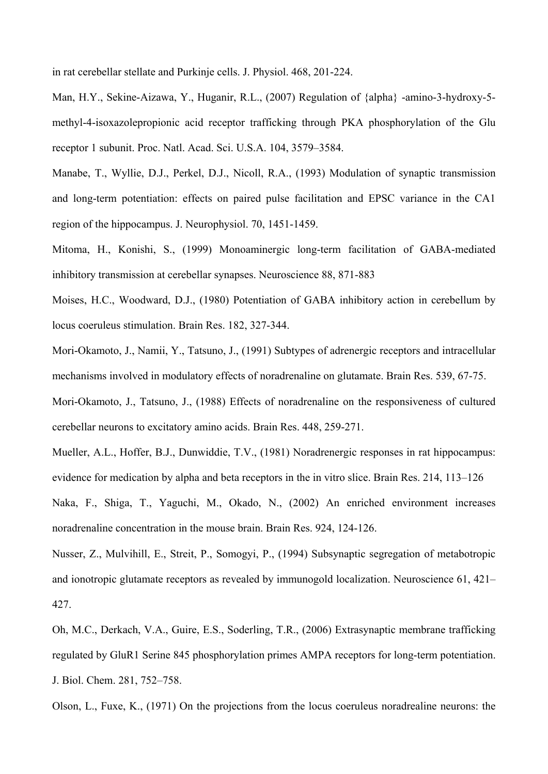in rat cerebellar stellate and Purkinje cells. J. Physiol. 468, 201-224.

Man, H.Y., Sekine-Aizawa, Y., Huganir, R.L., (2007) Regulation of {alpha} -amino-3-hydroxy-5 methyl-4-isoxazolepropionic acid receptor trafficking through PKA phosphorylation of the Glu receptor 1 subunit. Proc. Natl. Acad. Sci. U.S.A. 104, 3579–3584.

Manabe, T., Wyllie, D.J., Perkel, D.J., Nicoll, R.A., (1993) Modulation of synaptic transmission and long-term potentiation: effects on paired pulse facilitation and EPSC variance in the CA1 region of the hippocampus. J. Neurophysiol. 70, 1451-1459.

Mitoma, H., Konishi, S., (1999) Monoaminergic long-term facilitation of GABA-mediated inhibitory transmission at cerebellar synapses. Neuroscience 88, 871-883

Moises, H.C., Woodward, D.J., (1980) Potentiation of GABA inhibitory action in cerebellum by locus coeruleus stimulation. Brain Res. 182, 327-344.

Mori-Okamoto, J., Namii, Y., Tatsuno, J., (1991) Subtypes of adrenergic receptors and intracellular mechanisms involved in modulatory effects of noradrenaline on glutamate. Brain Res. 539, 67-75.

Mori-Okamoto, J., Tatsuno, J., (1988) Effects of noradrenaline on the responsiveness of cultured cerebellar neurons to excitatory amino acids. Brain Res. 448, 259-271.

Mueller, A.L., Hoffer, B.J., Dunwiddie, T.V., (1981) Noradrenergic responses in rat hippocampus: evidence for medication by alpha and beta receptors in the in vitro slice. Brain Res. 214, 113–126

Naka, F., Shiga, T., Yaguchi, M., Okado, N., (2002) An enriched environment increases noradrenaline concentration in the mouse brain. Brain Res. 924, 124-126.

Nusser, Z., Mulvihill, E., Streit, P., Somogyi, P., (1994) Subsynaptic segregation of metabotropic and ionotropic glutamate receptors as revealed by immunogold localization. Neuroscience 61, 421– 427.

Oh, M.C., Derkach, V.A., Guire, E.S., Soderling, T.R., (2006) Extrasynaptic membrane trafficking regulated by GluR1 Serine 845 phosphorylation primes AMPA receptors for long-term potentiation. J. Biol. Chem. 281, 752–758.

Olson, L., Fuxe, K., (1971) On the projections from the locus coeruleus noradrealine neurons: the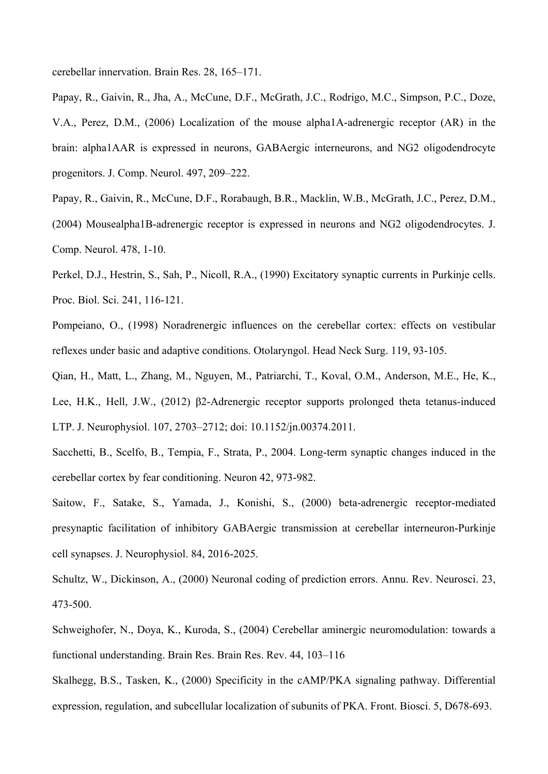cerebellar innervation. Brain Res. 28, 165–171.

Papay, R., Gaivin, R., Jha, A., McCune, D.F., McGrath, J.C., Rodrigo, M.C., Simpson, P.C., Doze, V.A., Perez, D.M., (2006) Localization of the mouse alpha1A-adrenergic receptor (AR) in the brain: alpha1AAR is expressed in neurons, GABAergic interneurons, and NG2 oligodendrocyte progenitors. J. Comp. Neurol. 497, 209–222.

Papay, R., Gaivin, R., McCune, D.F., Rorabaugh, B.R., Macklin, W.B., McGrath, J.C., Perez, D.M., (2004) Mousealpha1B-adrenergic receptor is expressed in neurons and NG2 oligodendrocytes. J. Comp. Neurol. 478, 1-10.

Perkel, D.J., Hestrin, S., Sah, P., Nicoll, R.A., (1990) Excitatory synaptic currents in Purkinje cells. Proc. Biol. Sci. 241, 116-121.

Pompeiano, O., (1998) Noradrenergic influences on the cerebellar cortex: effects on vestibular reflexes under basic and adaptive conditions. Otolaryngol. Head Neck Surg. 119, 93-105.

Qian, H., Matt, L., Zhang, M., Nguyen, M., Patriarchi, T., Koval, O.M., Anderson, M.E., He, K., Lee, H.K., Hell, J.W., (2012) β2-Adrenergic receptor supports prolonged theta tetanus-induced LTP. J. Neurophysiol. 107, 2703–2712; doi: 10.1152/jn.00374.2011.

Sacchetti, B., Scelfo, B., Tempia, F., Strata, P., 2004. Long-term synaptic changes induced in the cerebellar cortex by fear conditioning. Neuron 42, 973-982.

Saitow, F., Satake, S., Yamada, J., Konishi, S., (2000) beta-adrenergic receptor-mediated presynaptic facilitation of inhibitory GABAergic transmission at cerebellar interneuron-Purkinje cell synapses. J. Neurophysiol. 84, 2016-2025.

Schultz, W., Dickinson, A., (2000) Neuronal coding of prediction errors. Annu. Rev. Neurosci. 23, 473-500.

Schweighofer, N., Doya, K., Kuroda, S., (2004) Cerebellar aminergic neuromodulation: towards a functional understanding. Brain Res. Brain Res. Rev. 44, 103–116

Skalhegg, B.S., Tasken, K., (2000) Specificity in the cAMP/PKA signaling pathway. Differential expression, regulation, and subcellular localization of subunits of PKA. Front. Biosci. 5, D678-693.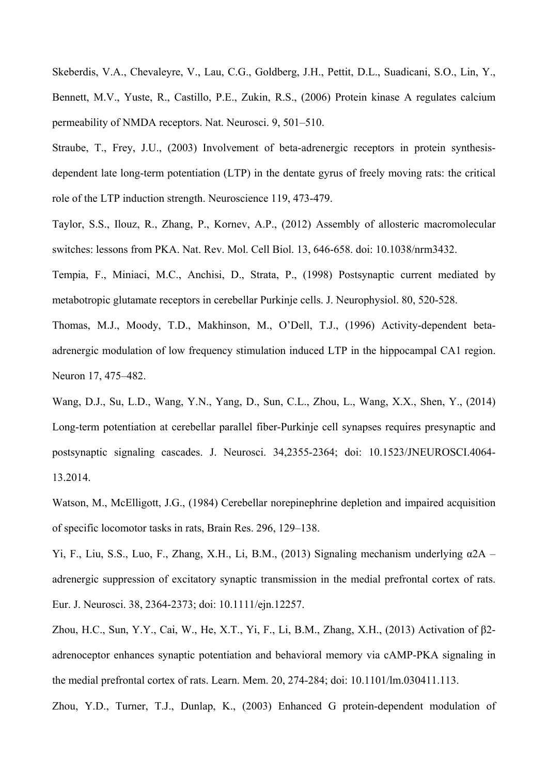Skeberdis, V.A., Chevaleyre, V., Lau, C.G., Goldberg, J.H., Pettit, D.L., Suadicani, S.O., Lin, Y., Bennett, M.V., Yuste, R., Castillo, P.E., Zukin, R.S., (2006) Protein kinase A regulates calcium permeability of NMDA receptors. Nat. Neurosci. 9, 501–510.

Straube, T., Frey, J.U., (2003) Involvement of beta-adrenergic receptors in protein synthesisdependent late long-term potentiation (LTP) in the dentate gyrus of freely moving rats: the critical role of the LTP induction strength. Neuroscience 119, 473-479.

Taylor, S.S., Ilouz, R., Zhang, P., Kornev, A.P., (2012) Assembly of allosteric macromolecular switches: lessons from PKA. Nat. Rev. Mol. Cell Biol. 13, 646-658. doi: 10.1038/nrm3432.

Tempia, F., Miniaci, M.C., Anchisi, D., Strata, P., (1998) Postsynaptic current mediated by metabotropic glutamate receptors in cerebellar Purkinje cells. J. Neurophysiol. 80, 520-528.

Thomas, M.J., Moody, T.D., Makhinson, M., O'Dell, T.J., (1996) Activity-dependent betaadrenergic modulation of low frequency stimulation induced LTP in the hippocampal CA1 region. Neuron 17, 475–482.

Wang, D.J., Su, L.D., Wang, Y.N., Yang, D., Sun, C.L., Zhou, L., Wang, X.X., Shen, Y., (2014) Long-term potentiation at cerebellar parallel fiber-Purkinje cell synapses requires presynaptic and postsynaptic signaling cascades. J. Neurosci. 34,2355-2364; doi: 10.1523/JNEUROSCI.4064- 13.2014.

Watson, M., McElligott, J.G., (1984) Cerebellar norepinephrine depletion and impaired acquisition of specific locomotor tasks in rats, Brain Res. 296, 129–138.

Yi, F., Liu, S.S., Luo, F., Zhang, X.H., Li, B.M., (2013) Signaling mechanism underlying α2A – adrenergic suppression of excitatory synaptic transmission in the medial prefrontal cortex of rats. Eur. J. Neurosci. 38, 2364-2373; doi: 10.1111/ejn.12257.

Zhou, H.C., Sun, Y.Y., Cai, W., He, X.T., Yi, F., Li, B.M., Zhang, X.H., (2013) Activation of β2 adrenoceptor enhances synaptic potentiation and behavioral memory via cAMP-PKA signaling in the medial prefrontal cortex of rats. Learn. Mem. 20, 274-284; doi: 10.1101/lm.030411.113.

Zhou, Y.D., Turner, T.J., Dunlap, K., (2003) Enhanced G protein-dependent modulation of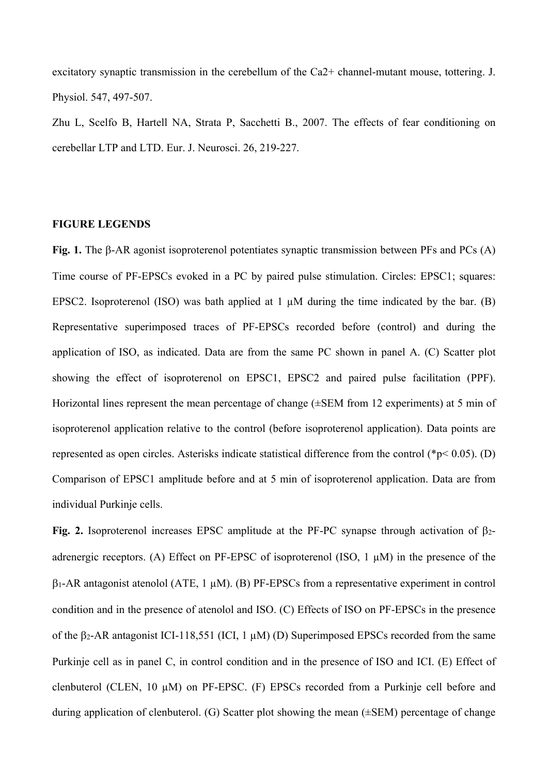excitatory synaptic transmission in the cerebellum of the Ca2+ channel-mutant mouse, tottering. J. Physiol. 547, 497-507.

Zhu L, Scelfo B, Hartell NA, Strata P, Sacchetti B., 2007. The effects of fear conditioning on cerebellar LTP and LTD. Eur. J. Neurosci. 26, 219-227.

## **FIGURE LEGENDS**

Fig. 1. The  $\beta$ -AR agonist isoproterenol potentiates synaptic transmission between PFs and PCs (A) Time course of PF-EPSCs evoked in a PC by paired pulse stimulation. Circles: EPSC1; squares: EPSC2. Isoproterenol (ISO) was bath applied at 1  $\mu$ M during the time indicated by the bar. (B) Representative superimposed traces of PF-EPSCs recorded before (control) and during the application of ISO, as indicated. Data are from the same PC shown in panel A. (C) Scatter plot showing the effect of isoproterenol on EPSC1, EPSC2 and paired pulse facilitation (PPF). Horizontal lines represent the mean percentage of change (±SEM from 12 experiments) at 5 min of isoproterenol application relative to the control (before isoproterenol application). Data points are represented as open circles. Asterisks indicate statistical difference from the control ( $p< 0.05$ ). (D) Comparison of EPSC1 amplitude before and at 5 min of isoproterenol application. Data are from individual Purkinje cells.

**Fig. 2.** Isoproterenol increases EPSC amplitude at the PF-PC synapse through activation of 2 adrenergic receptors. (A) Effect on PF-EPSC of isoproterenol (ISO, 1 µM) in the presence of the  $\beta$ 1-AR antagonist atenolol (ATE, 1  $\mu$ M). (B) PF-EPSCs from a representative experiment in control condition and in the presence of atenolol and ISO. (C) Effects of ISO on PF-EPSCs in the presence of the  $\beta$ 2-AR antagonist ICI-118,551 (ICI, 1  $\mu$ M) (D) Superimposed EPSCs recorded from the same Purkinje cell as in panel C, in control condition and in the presence of ISO and ICI. (E) Effect of clenbuterol (CLEN, 10 µM) on PF-EPSC. (F) EPSCs recorded from a Purkinje cell before and during application of clenbuterol. (G) Scatter plot showing the mean (±SEM) percentage of change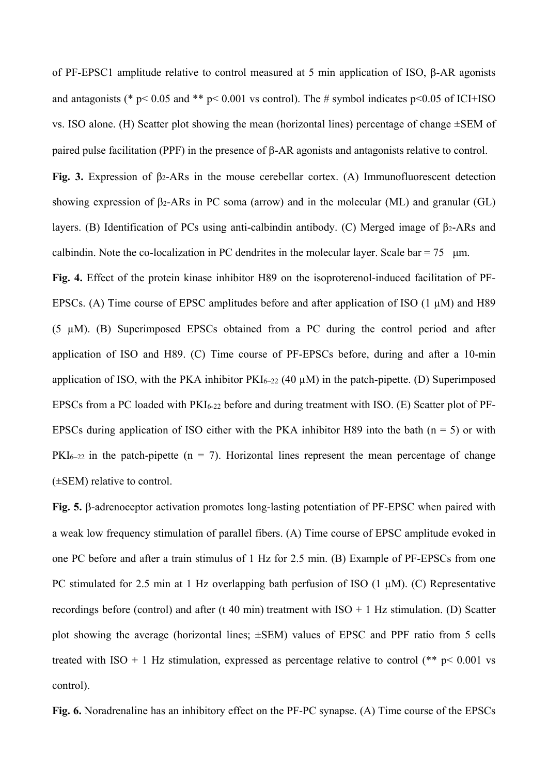of PF-EPSC1 amplitude relative to control measured at 5 min application of ISO,  $\beta$ -AR agonists and antagonists (\* p< 0.05 and \*\* p< 0.001 vs control). The # symbol indicates p<0.05 of ICI+ISO vs. ISO alone. (H) Scatter plot showing the mean (horizontal lines) percentage of change ±SEM of paired pulse facilitation (PPF) in the presence of  $\beta$ -AR agonists and antagonists relative to control.

**Fig. 3.** Expression of β2-ARs in the mouse cerebellar cortex. (A) Immunofluorescent detection showing expression of  $\beta_2$ -ARs in PC soma (arrow) and in the molecular (ML) and granular (GL) layers. (B) Identification of PCs using anti-calbindin antibody. (C) Merged image of β2-ARs and calbindin. Note the co-localization in PC dendrites in the molecular layer. Scale bar =  $75$  µm.

**Fig. 4.** Effect of the protein kinase inhibitor H89 on the isoproterenol-induced facilitation of PF-EPSCs. (A) Time course of EPSC amplitudes before and after application of ISO  $(1 \mu M)$  and H89 (5 µM). (B) Superimposed EPSCs obtained from a PC during the control period and after application of ISO and H89. (C) Time course of PF-EPSCs before, during and after a 10-min application of ISO, with the PKA inhibitor  $PKI_{6-22}$  (40  $\mu$ M) in the patch-pipette. (D) Superimposed EPSCs from a PC loaded with  $PKI_{6-22}$  before and during treatment with ISO. (E) Scatter plot of PF-EPSCs during application of ISO either with the PKA inhibitor H89 into the bath ( $n = 5$ ) or with  $PKI_{6-22}$  in the patch-pipette (n = 7). Horizontal lines represent the mean percentage of change (±SEM) relative to control.

Fig. 5. β-adrenoceptor activation promotes long-lasting potentiation of PF-EPSC when paired with a weak low frequency stimulation of parallel fibers. (A) Time course of EPSC amplitude evoked in one PC before and after a train stimulus of 1 Hz for 2.5 min. (B) Example of PF-EPSCs from one PC stimulated for 2.5 min at 1 Hz overlapping bath perfusion of ISO  $(1 \mu M)$ . (C) Representative recordings before (control) and after (t 40 min) treatment with  $ISO + 1 Hz$  stimulation. (D) Scatter plot showing the average (horizontal lines;  $\pm$ SEM) values of EPSC and PPF ratio from 5 cells treated with ISO + 1 Hz stimulation, expressed as percentage relative to control (\*\*  $p < 0.001$  vs control).

**Fig. 6.** Noradrenaline has an inhibitory effect on the PF-PC synapse. (A) Time course of the EPSCs